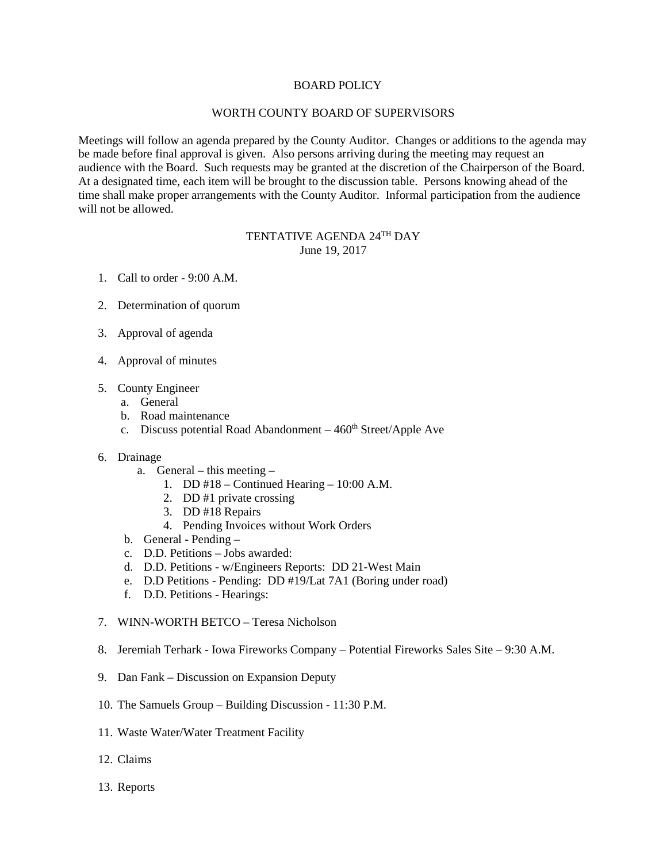## BOARD POLICY

## WORTH COUNTY BOARD OF SUPERVISORS

Meetings will follow an agenda prepared by the County Auditor. Changes or additions to the agenda may be made before final approval is given. Also persons arriving during the meeting may request an audience with the Board. Such requests may be granted at the discretion of the Chairperson of the Board. At a designated time, each item will be brought to the discussion table. Persons knowing ahead of the time shall make proper arrangements with the County Auditor. Informal participation from the audience will not be allowed.

## TENTATIVE AGENDA 24TH DAY June 19, 2017

- 1. Call to order 9:00 A.M.
- 2. Determination of quorum
- 3. Approval of agenda
- 4. Approval of minutes
- 5. County Engineer
	- a. General
	- b. Road maintenance
	- c. Discuss potential Road Abandonment  $-460<sup>th</sup> Street/Apple$  Ave
- 6. Drainage
	- a. General this meeting
		- 1. DD #18 Continued Hearing 10:00 A.M.
		- 2. DD #1 private crossing
		- 3. DD #18 Repairs
		- 4. Pending Invoices without Work Orders
	- b. General Pending –
	- c. D.D. Petitions Jobs awarded:
	- d. D.D. Petitions w/Engineers Reports: DD 21-West Main
	- e. D.D Petitions Pending: DD #19/Lat 7A1 (Boring under road)
	- f. D.D. Petitions Hearings:
- 7. WINN-WORTH BETCO Teresa Nicholson
- 8. Jeremiah Terhark Iowa Fireworks Company Potential Fireworks Sales Site 9:30 A.M.
- 9. Dan Fank Discussion on Expansion Deputy
- 10. The Samuels Group Building Discussion 11:30 P.M.
- 11. Waste Water/Water Treatment Facility
- 12. Claims
- 13. Reports